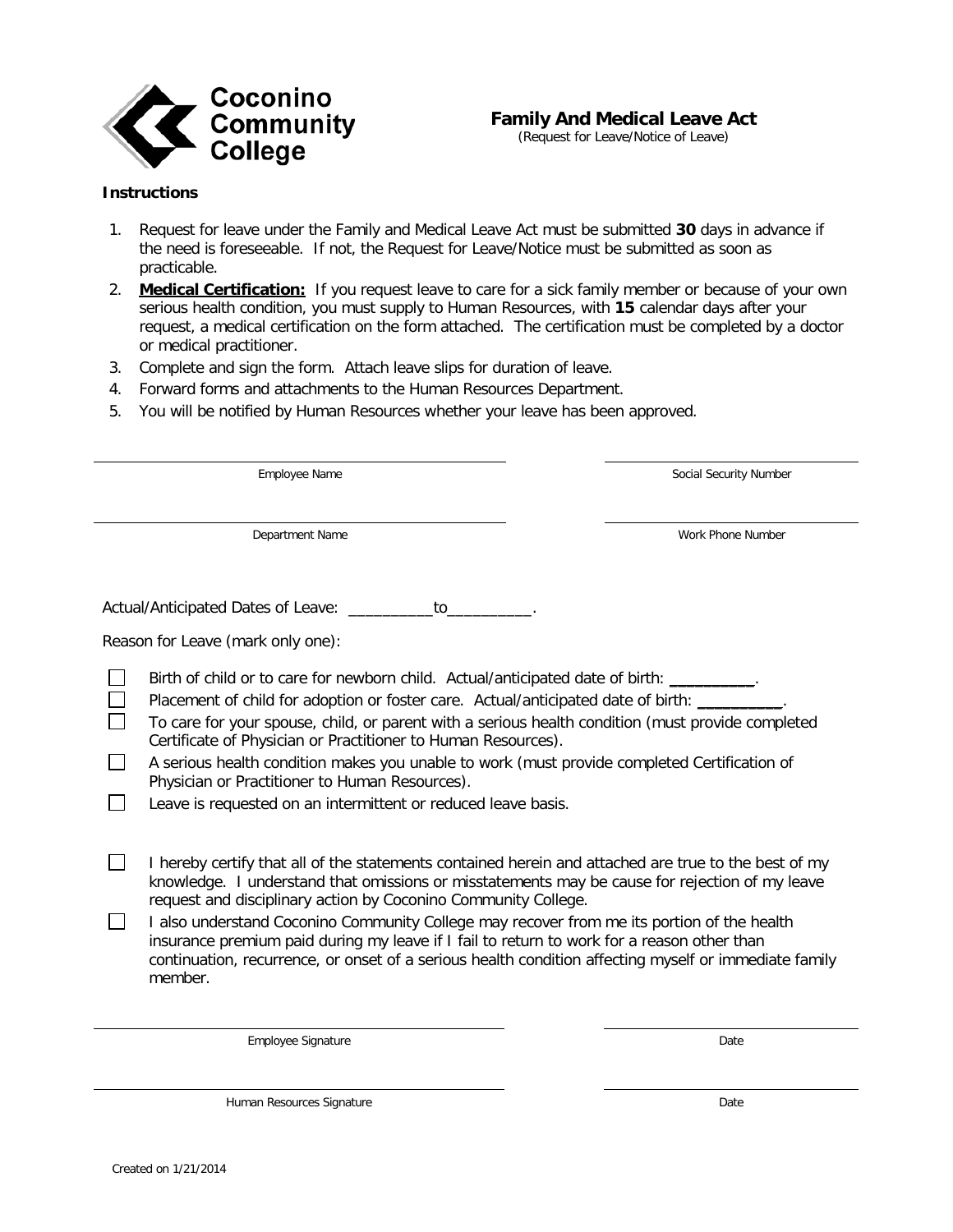

## **Family And Medical Leave Act**

(Request for Leave/Notice of Leave)

## **Instructions**

- 1. Request for leave under the Family and Medical Leave Act must be submitted **30** days in advance if the need is foreseeable. If not, the Request for Leave/Notice must be submitted as soon as practicable.
- 2. **Medical Certification:** If you request leave to care for a sick family member or because of your own serious health condition, you must supply to Human Resources, with **15** calendar days after your request, a medical certification on the form attached. The certification must be completed by a doctor or medical practitioner.
- 3. Complete and sign the form. Attach leave slips for duration of leave.
- 4. Forward forms and attachments to the Human Resources Department.
- 5. You will be notified by Human Resources whether your leave has been approved.

Employee Name Social Security Number

Department Name Work Phone Number

Actual/Anticipated Dates of Leave: \_\_\_\_\_\_\_\_\_\_to\_\_\_\_\_\_\_\_\_\_.

Reason for Leave (mark only one):

Birth of child or to care for newborn child. Actual/anticipated date of birth: \_\_\_\_\_\_\_\_\_.

- П Placement of child for adoption or foster care. Actual/anticipated date of birth: \_\_\_\_\_
- To care for your spouse, child, or parent with a serious health condition (must provide completed  $\Box$ Certificate of Physician or Practitioner to Human Resources).
- П A serious health condition makes you unable to work (must provide completed Certification of Physician or Practitioner to Human Resources).
- $\Box$ Leave is requested on an intermittent or reduced leave basis.
- П I hereby certify that all of the statements contained herein and attached are true to the best of my knowledge. I understand that omissions or misstatements may be cause for rejection of my leave request and disciplinary action by Coconino Community College.
- П I also understand Coconino Community College may recover from me its portion of the health insurance premium paid during my leave if I fail to return to work for a reason other than continuation, recurrence, or onset of a serious health condition affecting myself or immediate family member.

Employee Signature Date

**Human Resources Signature Community Community Community** Community Community Community Community Community Community